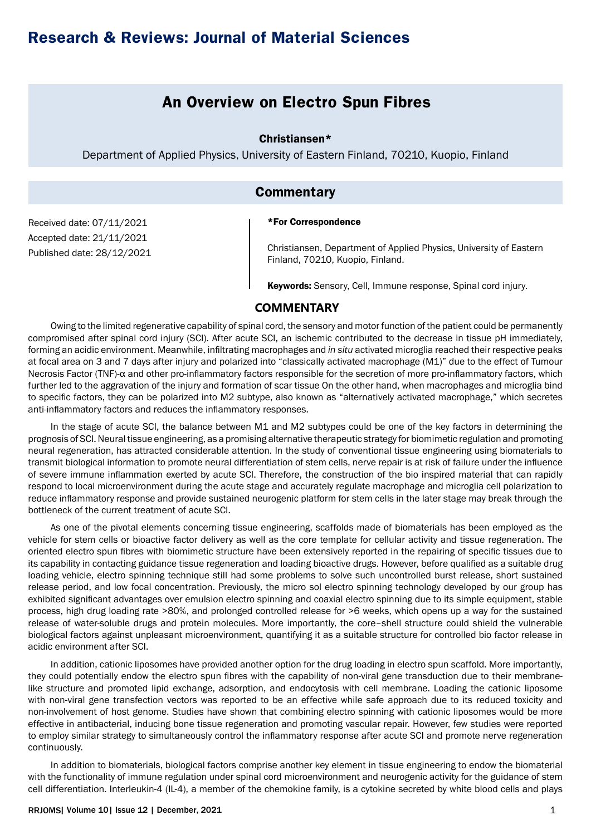## **Research & Reviews: Journal of Material Sciences**

## **An Overview on Electro Spun Fibres**

Christiansen\*

Department of Applied Physics, University of Eastern Finland, 70210, Kuopio, Finland

### **Commentary**

\*For Correspondence

Received date: 07/11/2021 Accepted date: 21/11/2021 Published date: 28/12/2021

Christiansen, Department of Applied Physics, University of Eastern Finland, 70210, Kuopio, Finland.

Keywords: Sensory, Cell, Immune response, Spinal cord injury.

#### **COMMENTARY**

Owing to the limited regenerative capability of spinal cord, the sensory and motor function of the patient could be permanently compromised after spinal cord injury (SCI). After acute SCI, an ischemic contributed to the decrease in tissue pH immediately, forming an acidic environment. Meanwhile, infiltrating macrophages and *in situ* activated microglia reached their respective peaks at focal area on 3 and 7 days after injury and polarized into "classically activated macrophage (M1)" due to the effect of Tumour Necrosis Factor (TNF)-α and other pro-inflammatory factors responsible for the secretion of more pro-inflammatory factors, which further led to the aggravation of the injury and formation of scar tissue On the other hand, when macrophages and microglia bind to specific factors, they can be polarized into M2 subtype, also known as "alternatively activated macrophage," which secretes anti-inflammatory factors and reduces the inflammatory responses.

In the stage of acute SCI, the balance between M1 and M2 subtypes could be one of the key factors in determining the prognosis of SCI. Neural tissue engineering, as a promising alternative therapeutic strategy for biomimetic regulation and promoting neural regeneration, has attracted considerable attention. In the study of conventional tissue engineering using biomaterials to transmit biological information to promote neural differentiation of stem cells, nerve repair is at risk of failure under the influence of severe immune inflammation exerted by acute SCI. Therefore, the construction of the bio inspired material that can rapidly respond to local microenvironment during the acute stage and accurately regulate macrophage and microglia cell polarization to reduce inflammatory response and provide sustained neurogenic platform for stem cells in the later stage may break through the bottleneck of the current treatment of acute SCI.

As one of the pivotal elements concerning tissue engineering, scaffolds made of biomaterials has been employed as the vehicle for stem cells or bioactive factor delivery as well as the core template for cellular activity and tissue regeneration. The oriented electro spun fibres with biomimetic structure have been extensively reported in the repairing of specific tissues due to its capability in contacting guidance tissue regeneration and loading bioactive drugs. However, before qualified as a suitable drug loading vehicle, electro spinning technique still had some problems to solve such uncontrolled burst release, short sustained release period, and low focal concentration. Previously, the micro sol electro spinning technology developed by our group has exhibited significant advantages over emulsion electro spinning and coaxial electro spinning due to its simple equipment, stable process, high drug loading rate >80%, and prolonged controlled release for >6 weeks, which opens up a way for the sustained release of water-soluble drugs and protein molecules. More importantly, the core–shell structure could shield the vulnerable biological factors against unpleasant microenvironment, quantifying it as a suitable structure for controlled bio factor release in acidic environment after SCI.

In addition, cationic liposomes have provided another option for the drug loading in electro spun scaffold. More importantly, they could potentially endow the electro spun fibres with the capability of non-viral gene transduction due to their membranelike structure and promoted lipid exchange, adsorption, and endocytosis with cell membrane. Loading the cationic liposome with non-viral gene transfection vectors was reported to be an effective while safe approach due to its reduced toxicity and non-involvement of host genome. Studies have shown that combining electro spinning with cationic liposomes would be more effective in antibacterial, inducing bone tissue regeneration and promoting vascular repair. However, few studies were reported to employ similar strategy to simultaneously control the inflammatory response after acute SCI and promote nerve regeneration continuously.

In addition to biomaterials, biological factors comprise another key element in tissue engineering to endow the biomaterial with the functionality of immune regulation under spinal cord microenvironment and neurogenic activity for the guidance of stem cell differentiation. Interleukin-4 (IL-4), a member of the chemokine family, is a cytokine secreted by white blood cells and plays